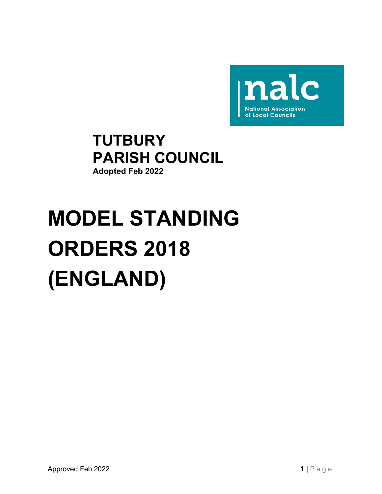

# **TUTBURY** PARISH COUNCIL Adopted Feb 2022

# MODEL STANDING ORDERS 2018 (ENGLAND)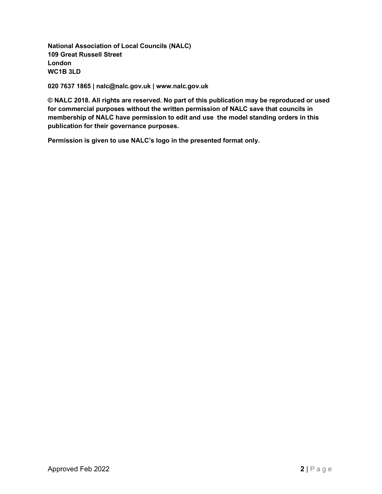National Association of Local Councils (NALC) 109 Great Russell Street London WC1B 3LD

020 7637 1865 | nalc@nalc.gov.uk | www.nalc.gov.uk

© NALC 2018. All rights are reserved. No part of this publication may be reproduced or used for commercial purposes without the written permission of NALC save that councils in membership of NALC have permission to edit and use the model standing orders in this publication for their governance purposes.

Permission is given to use NALC's logo in the presented format only.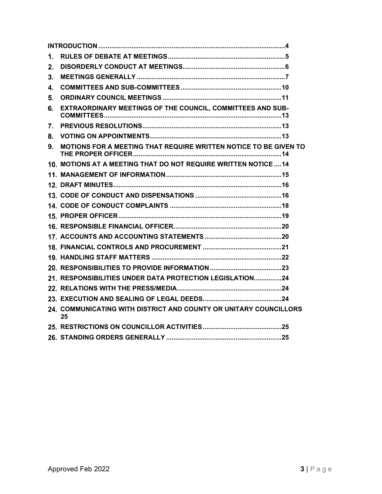| 6. EXTRAORDINARY MEETINGS OF THE COUNCIL, COMMITTEES AND SUB-           |        |
|-------------------------------------------------------------------------|--------|
|                                                                         |        |
|                                                                         |        |
|                                                                         |        |
|                                                                         |        |
|                                                                         |        |
|                                                                         |        |
|                                                                         |        |
|                                                                         |        |
| 9. MOTIONS FOR A MEETING THAT REQUIRE WRITTEN NOTICE TO BE GIVEN TO     |        |
| 10. MOTIONS AT A MEETING THAT DO NOT REQUIRE WRITTEN NOTICE  14         |        |
|                                                                         |        |
|                                                                         |        |
|                                                                         |        |
|                                                                         |        |
|                                                                         |        |
|                                                                         |        |
|                                                                         |        |
|                                                                         |        |
|                                                                         |        |
|                                                                         |        |
| 21. RESPONSIBILITIES UNDER DATA PROTECTION LEGISLATION24                |        |
|                                                                         |        |
|                                                                         |        |
| 24. COMMUNICATING WITH DISTRICT AND COUNTY OR UNITARY COUNCILLORS<br>25 |        |
|                                                                         |        |
|                                                                         |        |
|                                                                         |        |
| Approved Feb 2022                                                       | 3 Page |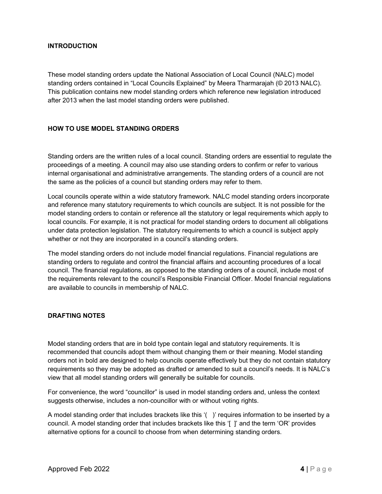# INTRODUCTION

These model standing orders update the National Association of Local Council (NALC) model standing orders contained in "Local Councils Explained" by Meera Tharmarajah (© 2013 NALC). This publication contains new model standing orders which reference new legislation introduced after 2013 when the last model standing orders were published.

## HOW TO USE MODEL STANDING ORDERS

Standing orders are the written rules of a local council. Standing orders are essential to regulate the proceedings of a meeting. A council may also use standing orders to confirm or refer to various internal organisational and administrative arrangements. The standing orders of a council are not the same as the policies of a council but standing orders may refer to them.

Local councils operate within a wide statutory framework. NALC model standing orders incorporate and reference many statutory requirements to which councils are subject. It is not possible for the model standing orders to contain or reference all the statutory or legal requirements which apply to local councils. For example, it is not practical for model standing orders to document all obligations under data protection legislation. The statutory requirements to which a council is subject apply whether or not they are incorporated in a council's standing orders.

The model standing orders do not include model financial regulations. Financial regulations are standing orders to regulate and control the financial affairs and accounting procedures of a local council. The financial regulations, as opposed to the standing orders of a council, include most of the requirements relevant to the council's Responsible Financial Officer. Model financial regulations are available to councils in membership of NALC.

# DRAFTING NOTES

Model standing orders that are in bold type contain legal and statutory requirements. It is recommended that councils adopt them without changing them or their meaning. Model standing orders not in bold are designed to help councils operate effectively but they do not contain statutory requirements so they may be adopted as drafted or amended to suit a council's needs. It is NALC's view that all model standing orders will generally be suitable for councils.

For convenience, the word "councillor" is used in model standing orders and, unless the context suggests otherwise, includes a non-councillor with or without voting rights.

A model standing order that includes brackets like this '( )' requires information to be inserted by a council. A model standing order that includes brackets like this '[ ]' and the term 'OR' provides alternative options for a council to choose from when determining standing orders.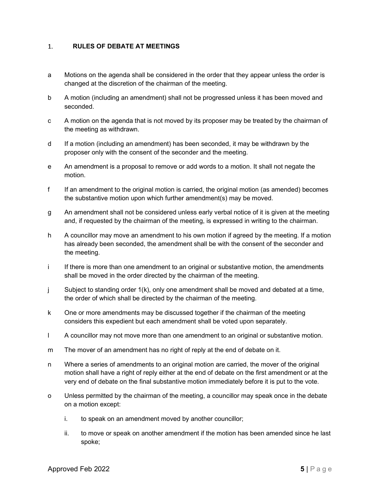#### $\mathbf{1}$ . RULES OF DEBATE AT MEETINGS

- a Motions on the agenda shall be considered in the order that they appear unless the order is changed at the discretion of the chairman of the meeting.
- b A motion (including an amendment) shall not be progressed unless it has been moved and seconded.
- c A motion on the agenda that is not moved by its proposer may be treated by the chairman of the meeting as withdrawn.
- d If a motion (including an amendment) has been seconded, it may be withdrawn by the proposer only with the consent of the seconder and the meeting.
- e An amendment is a proposal to remove or add words to a motion. It shall not negate the motion.
- f If an amendment to the original motion is carried, the original motion (as amended) becomes the substantive motion upon which further amendment(s) may be moved.
- g An amendment shall not be considered unless early verbal notice of it is given at the meeting and, if requested by the chairman of the meeting, is expressed in writing to the chairman.
- h A councillor may move an amendment to his own motion if agreed by the meeting. If a motion has already been seconded, the amendment shall be with the consent of the seconder and the meeting.
- i If there is more than one amendment to an original or substantive motion, the amendments shall be moved in the order directed by the chairman of the meeting.
- j Subject to standing order 1(k), only one amendment shall be moved and debated at a time, the order of which shall be directed by the chairman of the meeting.
- k One or more amendments may be discussed together if the chairman of the meeting considers this expedient but each amendment shall be voted upon separately.
- l A councillor may not move more than one amendment to an original or substantive motion.
- m The mover of an amendment has no right of reply at the end of debate on it.
- Armow are also entroduced together if the chairman of the meeting<br>
considers this expedient but each amendment shall be voted upon separately.<br>
A councillor may not move more than one amendment to an original or substanti n Where a series of amendments to an original motion are carried, the mover of the original motion shall have a right of reply either at the end of debate on the first amendment or at the very end of debate on the final substantive motion immediately before it is put to the vote.
- o Unless permitted by the chairman of the meeting, a councillor may speak once in the debate on a motion except:
	- i. to speak on an amendment moved by another councillor;
	- ii. to move or speak on another amendment if the motion has been amended since he last spoke;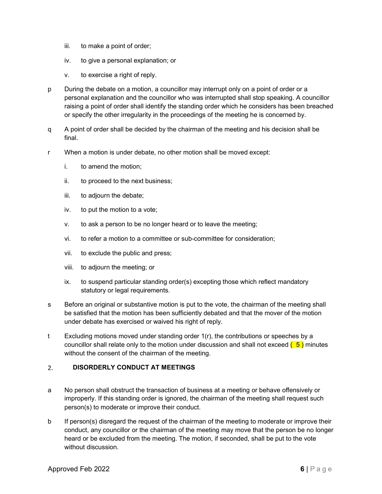- iii. to make a point of order;
- iv. to give a personal explanation; or
- v. to exercise a right of reply.
- p During the debate on a motion, a councillor may interrupt only on a point of order or a personal explanation and the councillor who was interrupted shall stop speaking. A councillor raising a point of order shall identify the standing order which he considers has been breached or specify the other irregularity in the proceedings of the meeting he is concerned by.
- q A point of order shall be decided by the chairman of the meeting and his decision shall be final.
- r When a motion is under debate, no other motion shall be moved except:
	- i. to amend the motion;
	- ii. to proceed to the next business;
	- iii. to adjourn the debate;
	- iv. to put the motion to a vote;
	- v. to ask a person to be no longer heard or to leave the meeting;
	- vi. to refer a motion to a committee or sub-committee for consideration;
	- vii. to exclude the public and press;
	- viii. to adjourn the meeting; or
	- ix. to suspend particular standing order(s) excepting those which reflect mandatory statutory or legal requirements.
- s Before an original or substantive motion is put to the vote, the chairman of the meeting shall be satisfied that the motion has been sufficiently debated and that the mover of the motion under debate has exercised or waived his right of reply.
- t Excluding motions moved under standing order  $1(r)$ , the contributions or speeches by a councillor shall relate only to the motion under discussion and shall not exceed  $(5)$  minutes without the consent of the chairman of the meeting.

# DISORDERLY CONDUCT AT MEETINGS

- a No person shall obstruct the transaction of business at a meeting or behave offensively or improperly. If this standing order is ignored, the chairman of the meeting shall request such person(s) to moderate or improve their conduct.
- be satisfied that the modion has been sufficiently debated and that the mover of the motion<br>the satisfied that the modion has been sufficiently debated and that the mover of the motion<br>under debate has exercised or waived b If person(s) disregard the request of the chairman of the meeting to moderate or improve their conduct, any councillor or the chairman of the meeting may move that the person be no longer heard or be excluded from the meeting. The motion, if seconded, shall be put to the vote without discussion.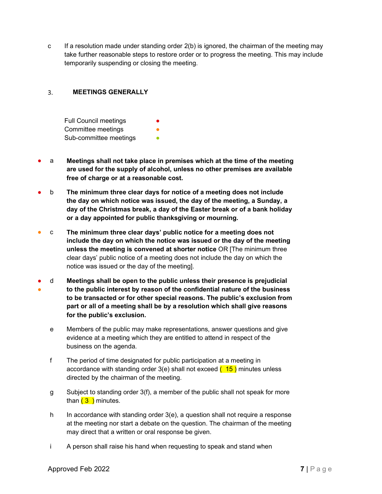c If a resolution made under standing order 2(b) is ignored, the chairman of the meeting may take further reasonable steps to restore order or to progress the meeting. This may include temporarily suspending or closing the meeting.

#### 3. MEETINGS GENERALLY

Full Council meetings Committee meetings Sub-committee meetings **•** 

- a Meetings shall not take place in premises which at the time of the meeting are used for the supply of alcohol, unless no other premises are available free of charge or at a reasonable cost.
- **The minimum three clear days for notice of a meeting does not include** the day on which notice was issued, the day of the meeting, a Sunday, a day of the Christmas break, a day of the Easter break or of a bank holiday or a day appointed for public thanksgiving or mourning.
- $\degree$  The minimum three clear days' public notice for a meeting does not include the day on which the notice was issued or the day of the meeting unless the meeting is convened at shorter notice OR [The minimum three clear days' public notice of a meeting does not include the day on which the notice was issued or the day of the meeting].
- d Meetings shall be open to the public unless their presence is prejudicial ● to the public interest by reason of the confidential nature of the business to be transacted or for other special reasons. The public's exclusion from part or all of a meeting shall be by a resolution which shall give reasons for the public's exclusion.
	- part or an or a meeting small be by a resolution writer shall give reasons<br>for the public's exclusion.<br>
	Members of the public may make representations, answer questions and give<br>
	evidence at a meeting which they are entit e Members of the public may make representations, answer questions and give evidence at a meeting which they are entitled to attend in respect of the business on the agenda.
	- f The period of time designated for public participation at a meeting in accordance with standing order  $3(e)$  shall not exceed  $(15)$  minutes unless directed by the chairman of the meeting.
	- g Subject to standing order 3(f), a member of the public shall not speak for more than  $(3)$  minutes.
	- h In accordance with standing order 3(e), a question shall not require a response at the meeting nor start a debate on the question. The chairman of the meeting may direct that a written or oral response be given.
	- i A person shall raise his hand when requesting to speak and stand when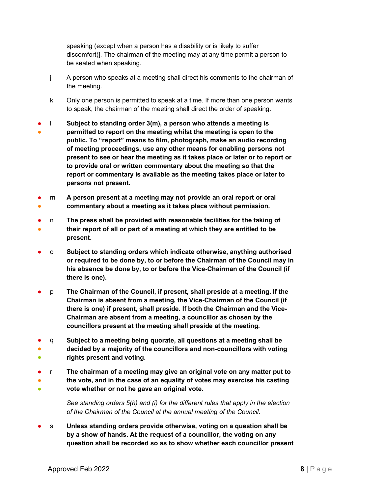speaking (except when a person has a disability or is likely to suffer discomfort)]. The chairman of the meeting may at any time permit a person to be seated when speaking.

- j A person who speaks at a meeting shall direct his comments to the chairman of the meeting.
- k Only one person is permitted to speak at a time. If more than one person wants to speak, the chairman of the meeting shall direct the order of speaking.
- ● l Subject to standing order 3(m), a person who attends a meeting is permitted to report on the meeting whilst the meeting is open to the public. To "report" means to film, photograph, make an audio recording of meeting proceedings, use any other means for enabling persons not present to see or hear the meeting as it takes place or later or to report or to provide oral or written commentary about the meeting so that the report or commentary is available as the meeting takes place or later to persons not present.
- ● m A person present at a meeting may not provide an oral report or oral commentary about a meeting as it takes place without permission.
- ● n The press shall be provided with reasonable facilities for the taking of their report of all or part of a meeting at which they are entitled to be present.
- o Subject to standing orders which indicate otherwise, anything authorised or required to be done by, to or before the Chairman of the Council may in his absence be done by, to or before the Vice-Chairman of the Council (if there is one).
- p The Chairman of the Council, if present, shall preside at a meeting. If the Chairman is absent from a meeting, the Vice-Chairman of the Council (if there is one) if present, shall preside. If both the Chairman and the Vice-Chairman are absent from a meeting, a councillor as chosen by the councillors present at the meeting shall preside at the meeting.
- ● ● q Subject to a meeting being quorate, all questions at a meeting shall be decided by a majority of the councillors and non-councillors with voting rights present and voting.
- ● **。** r The chairman of a meeting may give an original vote on any matter put to the vote, and in the case of an equality of votes may exercise his casting vote whether or not he gave an original vote.

See standing orders 5(h) and (i) for the different rules that apply in the election of the Chairman of the Council at the annual meeting of the Council.

s Unless standing orders provide otherwise, voting on a question shall be by a show of hands. At the request of a councillor, the voting on any question shall be recorded so as to show whether each councillor present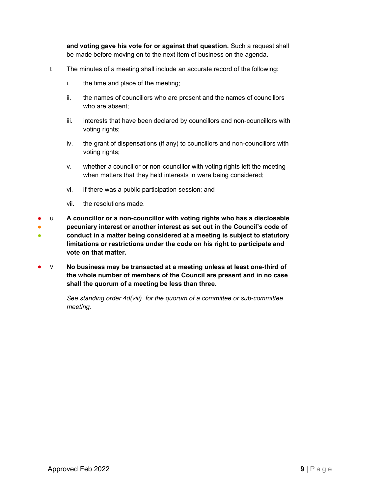and voting gave his vote for or against that question. Such a request shall be made before moving on to the next item of business on the agenda.

- t The minutes of a meeting shall include an accurate record of the following:
	- i. the time and place of the meeting;
	- ii. the names of councillors who are present and the names of councillors who are absent;
	- iii. interests that have been declared by councillors and non-councillors with voting rights;
	- iv. the grant of dispensations (if any) to councillors and non-councillors with voting rights;
	- v. whether a councillor or non-councillor with voting rights left the meeting when matters that they held interests in were being considered;
	- vi. if there was a public participation session; and
	- vii. the resolutions made.
- ● ● u A councillor or a non-councillor with voting rights who has a disclosable pecuniary interest or another interest as set out in the Council's code of conduct in a matter being considered at a meeting is subject to statutory limitations or restrictions under the code on his right to participate and vote on that matter.
- $v$  No business may be transacted at a meeting unless at least one-third of the whole number of members of the Council are present and in no case shall the quorum of a meeting be less than three.

See standing order 4d(viii) for the quorum of a committee or sub-committee meeting.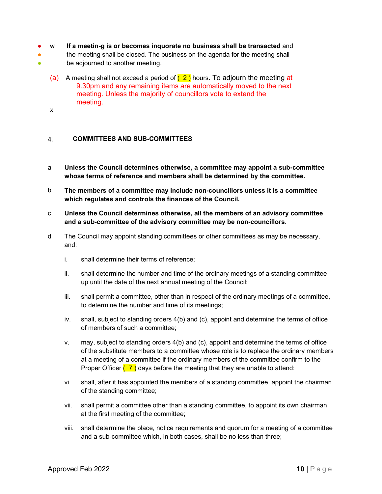- w If a meetin-g is or becomes inquorate no business shall be transacted and
- the meeting shall be closed. The business on the agenda for the meeting shall
- Be adjourned to another meeting.
	- (a) A meeting shall not exceed a period of  $(2)$  hours. To adjourn the meeting at 9.30pm and any remaining items are automatically moved to the next meeting. Unless the majority of councillors vote to extend the meeting.
	- x

#### COMMITTEES AND SUB-COMMITTEES 4.

- a Unless the Council determines otherwise, a committee may appoint a sub-committee whose terms of reference and members shall be determined by the committee.
- b The members of a committee may include non-councillors unless it is a committee which regulates and controls the finances of the Council.
- c Unless the Council determines otherwise, all the members of an advisory committee and a sub-committee of the advisory committee may be non-councillors.
- d The Council may appoint standing committees or other committees as may be necessary, and:
	- i. shall determine their terms of reference;
	- ii. shall determine the number and time of the ordinary meetings of a standing committee up until the date of the next annual meeting of the Council;
	- iii. shall permit a committee, other than in respect of the ordinary meetings of a committee, to determine the number and time of its meetings;
	- iv. shall, subject to standing orders 4(b) and (c), appoint and determine the terms of office of members of such a committee;
- iv. shall, subject to standing orders 4(b) and (c), appoint and determine the terms of office<br>of members of such a committee;<br> $V$ , may, subject to standing orders 4(b) and (c), appoint and determine the terms of office<br>of v. may, subject to standing orders 4(b) and (c), appoint and determine the terms of office of the substitute members to a committee whose role is to replace the ordinary members at a meeting of a committee if the ordinary members of the committee confirm to the Proper Officer  $(7)$  days before the meeting that they are unable to attend;
	- vi. shall, after it has appointed the members of a standing committee, appoint the chairman of the standing committee;
	- vii. shall permit a committee other than a standing committee, to appoint its own chairman at the first meeting of the committee;
	- viii. shall determine the place, notice requirements and quorum for a meeting of a committee and a sub-committee which, in both cases, shall be no less than three;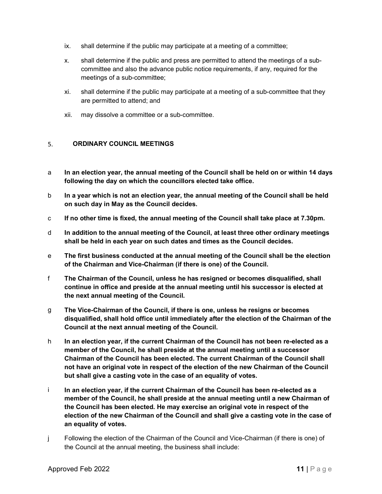- ix. shall determine if the public may participate at a meeting of a committee;
- x. shall determine if the public and press are permitted to attend the meetings of a subcommittee and also the advance public notice requirements, if any, required for the meetings of a sub-committee;
- xi. shall determine if the public may participate at a meeting of a sub-committee that they are permitted to attend; and
- xii. may dissolve a committee or a sub-committee.

#### ORDINARY COUNCIL MEETINGS 5.

- a In an election year, the annual meeting of the Council shall be held on or within 14 days following the day on which the councillors elected take office.
- b In a year which is not an election year, the annual meeting of the Council shall be held on such day in May as the Council decides.
- c If no other time is fixed, the annual meeting of the Council shall take place at 7.30pm.
- d In addition to the annual meeting of the Council, at least three other ordinary meetings shall be held in each year on such dates and times as the Council decides.
- e The first business conducted at the annual meeting of the Council shall be the election of the Chairman and Vice-Chairman (if there is one) of the Council.
- f The Chairman of the Council, unless he has resigned or becomes disqualified, shall continue in office and preside at the annual meeting until his successor is elected at the next annual meeting of the Council.
- g The Vice-Chairman of the Council, if there is one, unless he resigns or becomes disqualified, shall hold office until immediately after the election of the Chairman of the Council at the next annual meeting of the Council.
- h In an election year, if the current Chairman of the Council has not been re-elected as a member of the Council, he shall preside at the annual meeting until a successor Chairman of the Council has been elected. The current Chairman of the Council shall not have an original vote in respect of the election of the new Chairman of the Council but shall give a casting vote in the case of an equality of votes.
- The Vice-Chairman of the Council, if there is one, unless he resigns or becomes<br>
disqualified, shall hold office until immediately after the election of the Chairman of the<br>
Council at the next annual meeting of the Counc i In an election year, if the current Chairman of the Council has been re-elected as a member of the Council, he shall preside at the annual meeting until a new Chairman of the Council has been elected. He may exercise an original vote in respect of the election of the new Chairman of the Council and shall give a casting vote in the case of an equality of votes.
- j Following the election of the Chairman of the Council and Vice-Chairman (if there is one) of the Council at the annual meeting, the business shall include: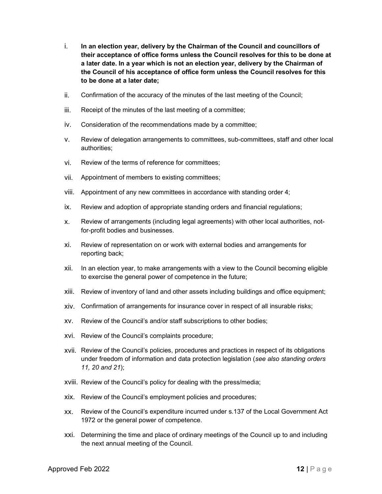- i. In an election year, delivery by the Chairman of the Council and councillors of their acceptance of office forms unless the Council resolves for this to be done at a later date. In a year which is not an election year, delivery by the Chairman of the Council of his acceptance of office form unless the Council resolves for this to be done at a later date;
- ii. Confirmation of the accuracy of the minutes of the last meeting of the Council;
- iii. Receipt of the minutes of the last meeting of a committee;
- iv. Consideration of the recommendations made by a committee;
- v. Review of delegation arrangements to committees, sub-committees, staff and other local authorities;
- vi. Review of the terms of reference for committees;
- vii. Appointment of members to existing committees;
- viii. Appointment of any new committees in accordance with standing order 4;
- ix. Review and adoption of appropriate standing orders and financial regulations;
- x. Review of arrangements (including legal agreements) with other local authorities, notfor-profit bodies and businesses.
- xi. Review of representation on or work with external bodies and arrangements for reporting back;
- xii. In an election year, to make arrangements with a view to the Council becoming eligible to exercise the general power of competence in the future;
- xiii. Review of inventory of land and other assets including buildings and office equipment;
- xiv. Confirmation of arrangements for insurance cover in respect of all insurable risks;
- xv. Review of the Council's and/or staff subscriptions to other bodies;
- xvi. Review of the Council's complaints procedure;
- xvii. Review of the Council's policies, procedures and practices in respect of its obligations under freedom of information and data protection legislation (see also standing orders 11, 20 and 21);
- xviii. Review of the Council's policy for dealing with the press/media;
- xix. Review of the Council's employment policies and procedures;
- xx. Review of the Council's expenditure incurred under s.137 of the Local Government Act 1972 or the general power of competence.
- xxi. Determining the time and place of ordinary meetings of the Council up to and including the next annual meeting of the Council.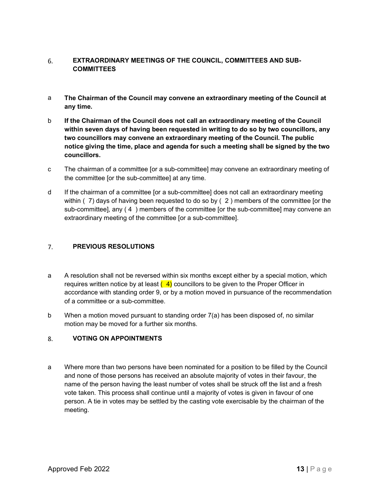#### EXTRAORDINARY MEETINGS OF THE COUNCIL, COMMITTEES AND SUB-6. **COMMITTEES**

- a The Chairman of the Council may convene an extraordinary meeting of the Council at any time.
- b If the Chairman of the Council does not call an extraordinary meeting of the Council within seven days of having been requested in writing to do so by two councillors, any two councillors may convene an extraordinary meeting of the Council. The public notice giving the time, place and agenda for such a meeting shall be signed by the two councillors.
- c The chairman of a committee [or a sub-committee] may convene an extraordinary meeting of the committee [or the sub-committee] at any time.
- d If the chairman of a committee [or a sub-committee] does not call an extraordinary meeting within ( 7) days of having been requested to do so by ( 2 ) members of the committee [or the sub-committee], any ( 4 ) members of the committee [or the sub-committee] may convene an extraordinary meeting of the committee [or a sub-committee].

#### $7.$ PREVIOUS RESOLUTIONS

- a A resolution shall not be reversed within six months except either by a special motion, which requires written notice by at least  $(4)$  councillors to be given to the Proper Officer in accordance with standing order 9, or by a motion moved in pursuance of the recommendation of a committee or a sub-committee.
- b When a motion moved pursuant to standing order 7(a) has been disposed of, no similar motion may be moved for a further six months.

# VOTING ON APPOINTMENTS

When a motion moved pursuant to standing order 7(a) has been disposed of, no similar motion may be moved for a further six months.<br>
8. **VOTING ON APPOINTMENTS**<br>
13 Where more than two persons have been nominated for a pos a Where more than two persons have been nominated for a position to be filled by the Council and none of those persons has received an absolute majority of votes in their favour, the name of the person having the least number of votes shall be struck off the list and a fresh vote taken. This process shall continue until a majority of votes is given in favour of one person. A tie in votes may be settled by the casting vote exercisable by the chairman of the meeting.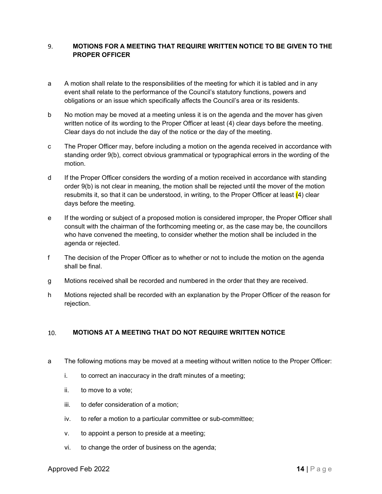#### 9. MOTIONS FOR A MEETING THAT REQUIRE WRITTEN NOTICE TO BE GIVEN TO THE PROPER OFFICER

- a A motion shall relate to the responsibilities of the meeting for which it is tabled and in any event shall relate to the performance of the Council's statutory functions, powers and obligations or an issue which specifically affects the Council's area or its residents.
- b No motion may be moved at a meeting unless it is on the agenda and the mover has given written notice of its wording to the Proper Officer at least (4) clear days before the meeting. Clear days do not include the day of the notice or the day of the meeting.
- c The Proper Officer may, before including a motion on the agenda received in accordance with standing order 9(b), correct obvious grammatical or typographical errors in the wording of the motion.
- d If the Proper Officer considers the wording of a motion received in accordance with standing order 9(b) is not clear in meaning, the motion shall be rejected until the mover of the motion resubmits it, so that it can be understood, in writing, to the Proper Officer at least  $(4)$  clear days before the meeting.
- e If the wording or subject of a proposed motion is considered improper, the Proper Officer shall consult with the chairman of the forthcoming meeting or, as the case may be, the councillors who have convened the meeting, to consider whether the motion shall be included in the agenda or rejected.
- f The decision of the Proper Officer as to whether or not to include the motion on the agenda shall be final.
- g Motions received shall be recorded and numbered in the order that they are received.
- h Motions rejected shall be recorded with an explanation by the Proper Officer of the reason for rejection.

# MOTIONS AT A MEETING THAT DO NOT REQUIRE WRITTEN NOTICE

- MOTIONS AT A MEETING THAT DO NOT REQUIRE WRITTEN NOTICE<br>
The following motions may be moved at a meeting without written notice to the Proper Officer:<br>
i. to correct an inaccuracy in the draft minutes of a meeting;<br>
ii. to a The following motions may be moved at a meeting without written notice to the Proper Officer:
	- i. to correct an inaccuracy in the draft minutes of a meeting;
	- ii. to move to a vote;
	- iii. to defer consideration of a motion;
	- iv. to refer a motion to a particular committee or sub-committee;
	- v. to appoint a person to preside at a meeting;
	- vi. to change the order of business on the agenda;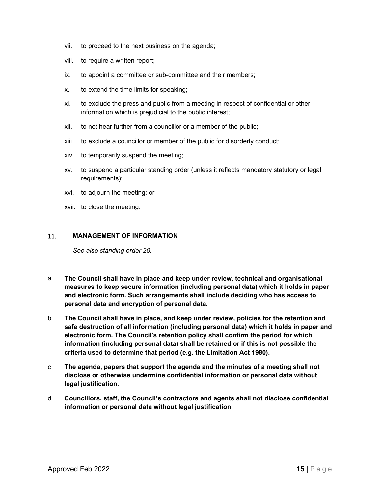- vii. to proceed to the next business on the agenda;
- viii. to require a written report;
- ix. to appoint a committee or sub-committee and their members;
- x. to extend the time limits for speaking;
- xi. to exclude the press and public from a meeting in respect of confidential or other information which is prejudicial to the public interest;
- xii. to not hear further from a councillor or a member of the public;
- xiii. to exclude a councillor or member of the public for disorderly conduct;
- xiv. to temporarily suspend the meeting;
- xv. to suspend a particular standing order (unless it reflects mandatory statutory or legal requirements);
- xvi. to adjourn the meeting; or
- xvii. to close the meeting.

#### 11. MANAGEMENT OF INFORMATION

See also standing order 20.

- a The Council shall have in place and keep under review, technical and organisational measures to keep secure information (including personal data) which it holds in paper and electronic form. Such arrangements shall include deciding who has access to personal data and encryption of personal data.
- The Council shall have in place, and keep under review, policies for the retention and<br>safe destruction of all information (including personal data) which it holds in paper and<br>electronic form. The Council's retention pol b The Council shall have in place, and keep under review, policies for the retention and safe destruction of all information (including personal data) which it holds in paper and electronic form. The Council's retention policy shall confirm the period for which information (including personal data) shall be retained or if this is not possible the criteria used to determine that period (e.g. the Limitation Act 1980).
- c The agenda, papers that support the agenda and the minutes of a meeting shall not disclose or otherwise undermine confidential information or personal data without legal justification.
- d Councillors, staff, the Council's contractors and agents shall not disclose confidential information or personal data without legal justification.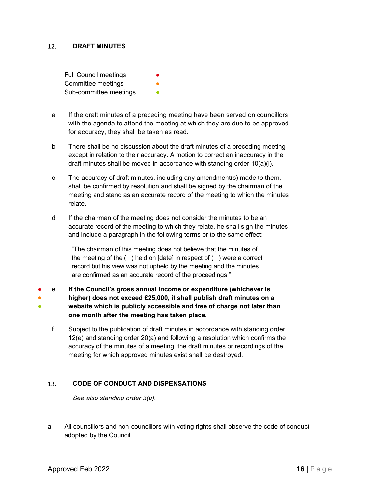#### $12.$ DRAFT MINUTES

Full Council meetings Committee meetings Sub-committee meetings **•** 

- a If the draft minutes of a preceding meeting have been served on councillors with the agenda to attend the meeting at which they are due to be approved for accuracy, they shall be taken as read.
- b There shall be no discussion about the draft minutes of a preceding meeting except in relation to their accuracy. A motion to correct an inaccuracy in the draft minutes shall be moved in accordance with standing order 10(a)(i).
- c The accuracy of draft minutes, including any amendment(s) made to them, shall be confirmed by resolution and shall be signed by the chairman of the meeting and stand as an accurate record of the meeting to which the minutes relate.
- d If the chairman of the meeting does not consider the minutes to be an accurate record of the meeting to which they relate, he shall sign the minutes and include a paragraph in the following terms or to the same effect:

"The chairman of this meeting does not believe that the minutes of the meeting of the ( ) held on [date] in respect of ( ) were a correct record but his view was not upheld by the meeting and the minutes are confirmed as an accurate record of the proceedings."

● e If the Council's gross annual income or expenditure (whichever is ● higher) does not exceed £25,000, it shall publish draft minutes on a ● website which is publicly accessible and free of charge not later than one month after the meeting has taken place.

website wincin is publicity accessione and tree or charge not later than<br>one month after the meeting has taken place.<br>  $\frac{1}{2}$  Subject to the publication of draft minutes in accordance with standing order<br>  $\frac{1}{2}$ (e) f Subject to the publication of draft minutes in accordance with standing order 12(e) and standing order 20(a) and following a resolution which confirms the accuracy of the minutes of a meeting, the draft minutes or recordings of the meeting for which approved minutes exist shall be destroyed.

### CODE OF CONDUCT AND DISPENSATIONS

See also standing order 3(u).

a All councillors and non-councillors with voting rights shall observe the code of conduct adopted by the Council.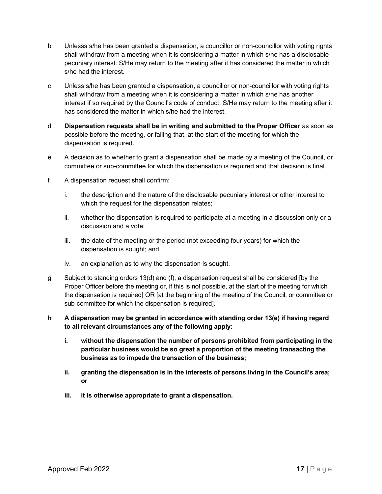- b Unlesss s/he has been granted a dispensation, a councillor or non-councillor with voting rights shall withdraw from a meeting when it is considering a matter in which s/he has a disclosable pecuniary interest. S/He may return to the meeting after it has considered the matter in which s/he had the interest.
- c Unless s/he has been granted a dispensation, a councillor or non-councillor with voting rights shall withdraw from a meeting when it is considering a matter in which s/he has another interest if so required by the Council's code of conduct. S/He may return to the meeting after it has considered the matter in which s/he had the interest.
- d Dispensation requests shall be in writing and submitted to the Proper Officer as soon as possible before the meeting, or failing that, at the start of the meeting for which the dispensation is required.
- e A decision as to whether to grant a dispensation shall be made by a meeting of the Council, or committee or sub-committee for which the dispensation is required and that decision is final.
- f A dispensation request shall confirm:
	- i. the description and the nature of the disclosable pecuniary interest or other interest to which the request for the dispensation relates;
	- ii. whether the dispensation is required to participate at a meeting in a discussion only or a discussion and a vote;
	- iii. the date of the meeting or the period (not exceeding four years) for which the dispensation is sought; and
	- iv. an explanation as to why the dispensation is sought.
- g Subject to standing orders 13(d) and (f), a dispensation request shall be considered [by the Proper Officer before the meeting or, if this is not possible, at the start of the meeting for which the dispensation is required] OR [at the beginning of the meeting of the Council, or committee or sub-committee for which the dispensation is required].
- h A dispensation may be granted in accordance with standing order 13(e) if having regard to all relevant circumstances any of the following apply:
	- i. without the dispensation the number of persons prohibited from participating in the particular business would be so great a proportion of the meeting transacting the business as to impede the transaction of the business;
	- ii. granting the dispensation is in the interests of persons living in the Council's area; or
	- iii. it is otherwise appropriate to grant a dispensation.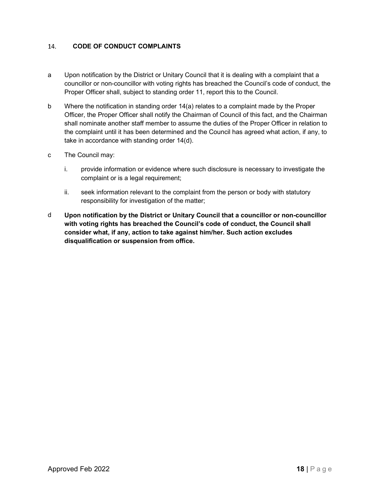#### 14. CODE OF CONDUCT COMPLAINTS

- a Upon notification by the District or Unitary Council that it is dealing with a complaint that a councillor or non-councillor with voting rights has breached the Council's code of conduct, the Proper Officer shall, subject to standing order 11, report this to the Council.
- b Where the notification in standing order 14(a) relates to a complaint made by the Proper Officer, the Proper Officer shall notify the Chairman of Council of this fact, and the Chairman shall nominate another staff member to assume the duties of the Proper Officer in relation to the complaint until it has been determined and the Council has agreed what action, if any, to take in accordance with standing order 14(d).
- c The Council may:
	- i. provide information or evidence where such disclosure is necessary to investigate the complaint or is a legal requirement;
	- ii. seek information relevant to the complaint from the person or body with statutory responsibility for investigation of the matter;
- d Upon notification by the District or Unitary Council that a councillor or non-councillor with voting rights has breached the Council's code of conduct, the Council shall consider what, if any, action to take against him/her. Such action excludes disqualification or suspension from office.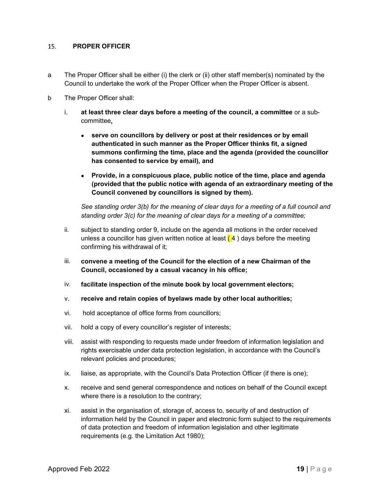#### 15. PROPER OFFICER

- a The Proper Officer shall be either (i) the clerk or (ii) other staff member(s) nominated by the Council to undertake the work of the Proper Officer when the Proper Officer is absent.
- b The Proper Officer shall:
	- i. at least three clear days before a meeting of the council, a committee or a subcommittee,
		- serve on councillors by delivery or post at their residences or by email authenticated in such manner as the Proper Officer thinks fit, a signed summons confirming the time, place and the agenda (provided the councillor has consented to service by email), and
		- Provide, in a conspicuous place, public notice of the time, place and agenda (provided that the public notice with agenda of an extraordinary meeting of the Council convened by councillors is signed by them).

See standing order 3(b) for the meaning of clear days for a meeting of a full council and standing order 3(c) for the meaning of clear days for a meeting of a committee;

- ii. subject to standing order 9, include on the agenda all motions in the order received unless a councillor has given written notice at least  $(4)$  days before the meeting confirming his withdrawal of it;
- iii. convene a meeting of the Council for the election of a new Chairman of the Council, occasioned by a casual vacancy in his office;
- iv. facilitate inspection of the minute book by local government electors;
- v. receive and retain copies of byelaws made by other local authorities;
- vi. hold acceptance of office forms from councillors;
- vii. hold a copy of every councillor's register of interests;
- viii. assist with responding to requests made under freedom of information legislation and rights exercisable under data protection legislation, in accordance with the Council's relevant policies and procedures;
- ix. liaise, as appropriate, with the Council's Data Protection Officer (if there is one);
- x. receive and send general correspondence and notices on behalf of the Council except where there is a resolution to the contrary;
- vi. hold acceptance of office forms from councillors;<br>
vii. hold a copy of every councillor's register of interests;<br>
viii. assist with responding to requests made under freedom of information legislation and<br>
rights exer xi. assist in the organisation of, storage of, access to, security of and destruction of information held by the Council in paper and electronic form subject to the requirements of data protection and freedom of information legislation and other legitimate requirements (e.g. the Limitation Act 1980);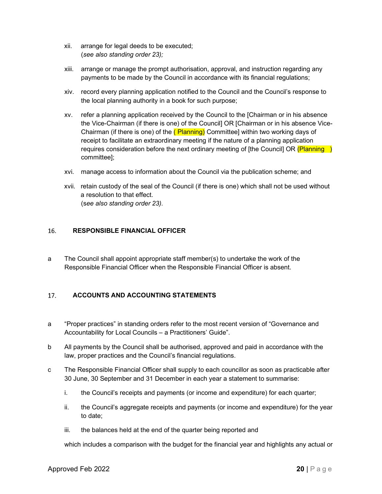- xii. arrange for legal deeds to be executed; (see also standing order 23);
- xiii. arrange or manage the prompt authorisation, approval, and instruction regarding any payments to be made by the Council in accordance with its financial regulations;
- xiv. record every planning application notified to the Council and the Council's response to the local planning authority in a book for such purpose;
- xv. refer a planning application received by the Council to the [Chairman or in his absence the Vice-Chairman (if there is one) of the Council] OR [Chairman or in his absence Vice-Chairman (if there is one) of the (Planning) Committee] within two working days of receipt to facilitate an extraordinary meeting if the nature of a planning application requires consideration before the next ordinary meeting of [the Council] OR  $(Planning)$ committee];
- xvi. manage access to information about the Council via the publication scheme; and
- xvii. retain custody of the seal of the Council (if there is one) which shall not be used without a resolution to that effect. (see also standing order 23).

#### 16. RESPONSIBLE FINANCIAL OFFICER

a The Council shall appoint appropriate staff member(s) to undertake the work of the Responsible Financial Officer when the Responsible Financial Officer is absent.

#### 17. ACCOUNTS AND ACCOUNTING STATEMENTS

- a "Proper practices" in standing orders refer to the most recent version of "Governance and Accountability for Local Councils – a Practitioners' Guide".
- "Proper practices" in standing orders refer to the most recent version of "Governance and<br>Accountability for Local Councils a Practitioners' Guide".<br>
All payments by the Council shall be authorised, approved and paid in b All payments by the Council shall be authorised, approved and paid in accordance with the law, proper practices and the Council's financial regulations.
- c The Responsible Financial Officer shall supply to each councillor as soon as practicable after 30 June, 30 September and 31 December in each year a statement to summarise:
	- i. the Council's receipts and payments (or income and expenditure) for each quarter;
	- ii. the Council's aggregate receipts and payments (or income and expenditure) for the year to date;
	- iii. the balances held at the end of the quarter being reported and

which includes a comparison with the budget for the financial year and highlights any actual or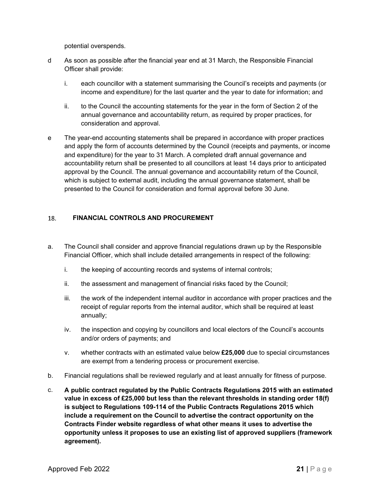potential overspends.

- d As soon as possible after the financial year end at 31 March, the Responsible Financial Officer shall provide:
	- i. each councillor with a statement summarising the Council's receipts and payments (or income and expenditure) for the last quarter and the year to date for information; and
	- ii. to the Council the accounting statements for the year in the form of Section 2 of the annual governance and accountability return, as required by proper practices, for consideration and approval.
- e The year-end accounting statements shall be prepared in accordance with proper practices and apply the form of accounts determined by the Council (receipts and payments, or income and expenditure) for the year to 31 March. A completed draft annual governance and accountability return shall be presented to all councillors at least 14 days prior to anticipated approval by the Council. The annual governance and accountability return of the Council, which is subject to external audit, including the annual governance statement, shall be presented to the Council for consideration and formal approval before 30 June.

#### 18. FINANCIAL CONTROLS AND PROCUREMENT

- a. The Council shall consider and approve financial regulations drawn up by the Responsible Financial Officer, which shall include detailed arrangements in respect of the following:
	- i. the keeping of accounting records and systems of internal controls;
	- ii. the assessment and management of financial risks faced by the Council;
	- iii. the work of the independent internal auditor in accordance with proper practices and the receipt of regular reports from the internal auditor, which shall be required at least annually;
	- iv. the inspection and copying by councillors and local electors of the Council's accounts and/or orders of payments; and
	- v. whether contracts with an estimated value below  $£25,000$  due to special circumstances are exempt from a tendering process or procurement exercise.
- b. Financial regulations shall be reviewed regularly and at least annually for fitness of purpose.
- recept of regular reports from the internal auditor, which shall be required at least<br>annually;<br>iv. the inspection and copying by councillors and local electors of the Council's accounts<br>and/or orders of payments; and<br>v. w c. A public contract regulated by the Public Contracts Regulations 2015 with an estimated value in excess of £25,000 but less than the relevant thresholds in standing order 18(f) is subject to Regulations 109-114 of the Public Contracts Regulations 2015 which include a requirement on the Council to advertise the contract opportunity on the Contracts Finder website regardless of what other means it uses to advertise the opportunity unless it proposes to use an existing list of approved suppliers (framework agreement).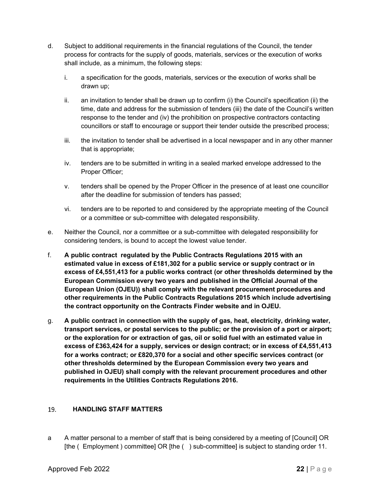- d. Subject to additional requirements in the financial regulations of the Council, the tender process for contracts for the supply of goods, materials, services or the execution of works shall include, as a minimum, the following steps:
	- i. a specification for the goods, materials, services or the execution of works shall be drawn up;
	- ii. an invitation to tender shall be drawn up to confirm (i) the Council's specification (ii) the time, date and address for the submission of tenders (iii) the date of the Council's written response to the tender and (iv) the prohibition on prospective contractors contacting councillors or staff to encourage or support their tender outside the prescribed process;
	- iii. the invitation to tender shall be advertised in a local newspaper and in any other manner that is appropriate;
	- iv. tenders are to be submitted in writing in a sealed marked envelope addressed to the Proper Officer;
	- v. tenders shall be opened by the Proper Officer in the presence of at least one councillor after the deadline for submission of tenders has passed;
	- vi. tenders are to be reported to and considered by the appropriate meeting of the Council or a committee or sub-committee with delegated responsibility.
- e. Neither the Council, nor a committee or a sub-committee with delegated responsibility for considering tenders, is bound to accept the lowest value tender.
- f. A public contract regulated by the Public Contracts Regulations 2015 with an estimated value in excess of £181,302 for a public service or supply contract or in excess of £4,551,413 for a public works contract (or other thresholds determined by the European Commission every two years and published in the Official Journal of the European Union (OJEU)) shall comply with the relevant procurement procedures and other requirements in the Public Contracts Regulations 2015 which include advertising the contract opportunity on the Contracts Finder website and in OJEU.
- the contract opportunity on the contracts Pinder website and in OJED.<br>
g. A public contract in connection with the supply of gas, heat, electricity, drinking water,<br>
transport services, or postal services to the public; o g. A public contract in connection with the supply of gas, heat, electricity, drinking water, transport services, or postal services to the public; or the provision of a port or airport; or the exploration for or extraction of gas, oil or solid fuel with an estimated value in excess of £363,424 for a supply, services or design contract; or in excess of £4,551,413 for a works contract; or £820,370 for a social and other specific services contract (or other thresholds determined by the European Commission every two years and published in OJEU) shall comply with the relevant procurement procedures and other requirements in the Utilities Contracts Regulations 2016.

# HANDLING STAFF MATTERS

a A matter personal to a member of staff that is being considered by a meeting of [Council] OR [the ( Employment ) committee] OR [the ( ) sub-committee] is subject to standing order 11.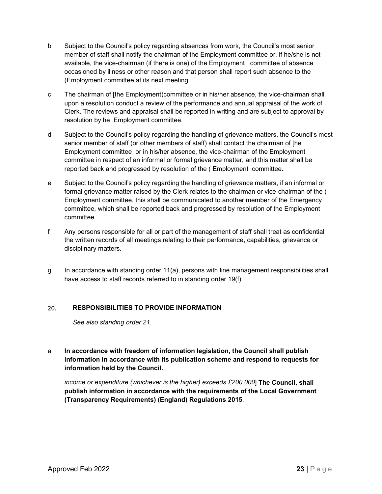- b Subject to the Council's policy regarding absences from work, the Council's most senior member of staff shall notify the chairman of the Employment committee or, if he/she is not available, the vice-chairman (if there is one) of the Employment committee of absence occasioned by illness or other reason and that person shall report such absence to the (Employment committee at its next meeting.
- c The chairman of [the Employment)committee or in his/her absence, the vice-chairman shall upon a resolution conduct a review of the performance and annual appraisal of the work of Clerk. The reviews and appraisal shall be reported in writing and are subject to approval by resolution by he Employment committee.
- d Subject to the Council's policy regarding the handling of grievance matters, the Council's most senior member of staff (or other members of staff) shall contact the chairman of [he Employment committee or in his/her absence, the vice-chairman of the Employment committee in respect of an informal or formal grievance matter, and this matter shall be reported back and progressed by resolution of the ( Employment committee.
- e Subject to the Council's policy regarding the handling of grievance matters, if an informal or formal grievance matter raised by the Clerk relates to the chairman or vice-chairman of the ( Employment committee, this shall be communicated to another member of the Emergency committee, which shall be reported back and progressed by resolution of the Employment committee.
- f Any persons responsible for all or part of the management of staff shall treat as confidential the written records of all meetings relating to their performance, capabilities, grievance or disciplinary matters.
- g In accordance with standing order 11(a), persons with line management responsibilities shall have access to staff records referred to in standing order 19(f).

# RESPONSIBILITIES TO PROVIDE INFORMATION

See also standing order 21.

20. RESPONSIBILITIES TO PROVIDE INFORMATION<br>
See also standing order 21.<br>
In accordance with freedom of information legislation, the Council shall publish<br>
information in accordance with its publication scheme and respond a In accordance with freedom of information legislation, the Council shall publish information in accordance with its publication scheme and respond to requests for information held by the Council.

income or expenditure (whichever is the higher) exceeds £200,000] The Council, shall publish information in accordance with the requirements of the Local Government (Transparency Requirements) (England) Regulations 2015.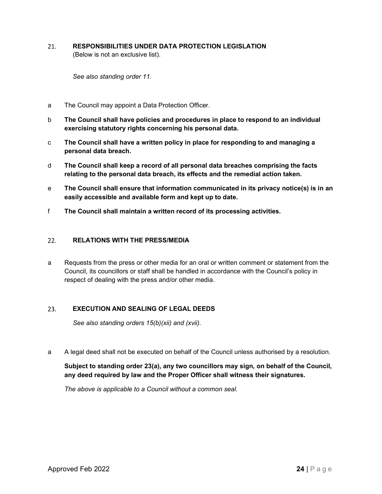21. RESPONSIBILITIES UNDER DATA PROTECTION LEGISLATION (Below is not an exclusive list).

See also standing order 11.

- a The Council may appoint a Data Protection Officer.
- b The Council shall have policies and procedures in place to respond to an individual exercising statutory rights concerning his personal data.
- c The Council shall have a written policy in place for responding to and managing a personal data breach.
- d The Council shall keep a record of all personal data breaches comprising the facts relating to the personal data breach, its effects and the remedial action taken.
- e The Council shall ensure that information communicated in its privacy notice(s) is in an easily accessible and available form and kept up to date.
- f The Council shall maintain a written record of its processing activities.

#### $22.$ RELATIONS WITH THE PRESS/MEDIA

a Requests from the press or other media for an oral or written comment or statement from the Council, its councillors or staff shall be handled in accordance with the Council's policy in respect of dealing with the press and/or other media.

# EXECUTION AND SEALING OF LEGAL DEEDS

See also standing orders 15(b)(xii) and (xvii).

a A legal deed shall not be executed on behalf of the Council unless authorised by a resolution.

# EXECUTION AND SEALING OF LEGAL DEEDS<br>
See also standing orders 15(b)(xii) and (xvii).<br>
A legal deed shall not be executed on behalf of the Council unless authorised by a resolution.<br>
Subject to standing order 23(a), any t Subject to standing order 23(a), any two councillors may sign, on behalf of the Council, any deed required by law and the Proper Officer shall witness their signatures.

The above is applicable to a Council without a common seal.